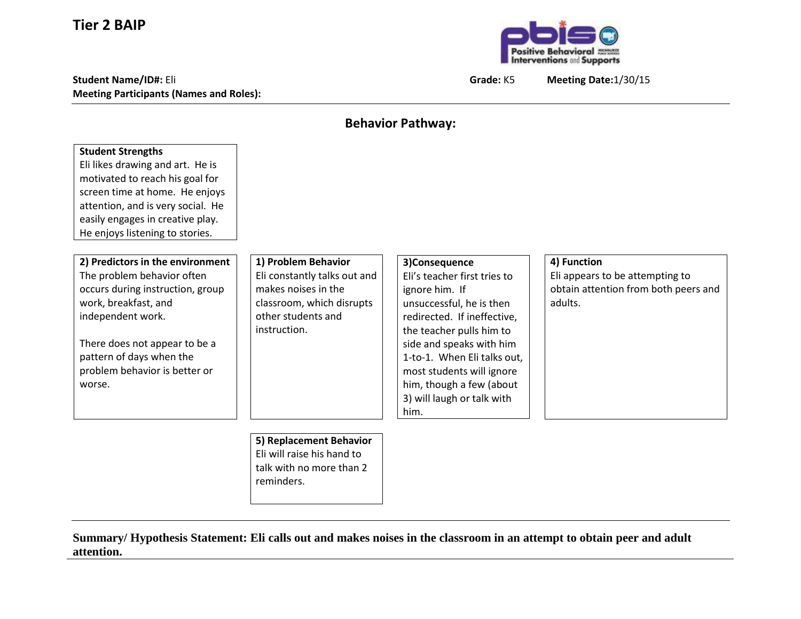## **Tier 2 BAIP**

**Student Name/ID#:** Eli **Grade:** K5 **Meeting Date:**1/30/15 **Meeting Participants (Names and Roles):**



| <b>Student Strengths</b><br>Eli likes drawing and art. He is<br>motivated to reach his goal for<br>screen time at home. He enjoys<br>attention, and is very social. He<br>easily engages in creative play.<br>He enjoys listening to stories.           |                                                                                                                                               |                                                                                                                                                                                                                                                                                                                  |                                                                                                   |
|---------------------------------------------------------------------------------------------------------------------------------------------------------------------------------------------------------------------------------------------------------|-----------------------------------------------------------------------------------------------------------------------------------------------|------------------------------------------------------------------------------------------------------------------------------------------------------------------------------------------------------------------------------------------------------------------------------------------------------------------|---------------------------------------------------------------------------------------------------|
| 2) Predictors in the environment<br>The problem behavior often<br>occurs during instruction, group<br>work, breakfast, and<br>independent work.<br>There does not appear to be a<br>pattern of days when the<br>problem behavior is better or<br>worse. | 1) Problem Behavior<br>Eli constantly talks out and<br>makes noises in the<br>classroom, which disrupts<br>other students and<br>instruction. | 3)Consequence<br>Eli's teacher first tries to<br>ignore him. If<br>unsuccessful, he is then<br>redirected. If ineffective,<br>the teacher pulls him to<br>side and speaks with him<br>1-to-1. When Eli talks out,<br>most students will ignore<br>him, though a few (about<br>3) will laugh or talk with<br>him. | 4) Function<br>Eli appears to be attempting to<br>obtain attention from both peers and<br>adults. |

**5) Replacement Behavior** Eli will raise his hand to talk with no more than 2 reminders.

## **Behavior Pathway:**

**Summary/ Hypothesis Statement: Eli calls out and makes noises in the classroom in an attempt to obtain peer and adult attention.**